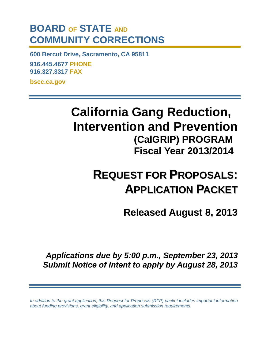# **BOARD OF STATE AND COMMUNITY CORRECTIONS**

**600 Bercut Drive, Sacramento, CA 95811 916.445.4677 PHONE 916.327.3317 FAX bscc.ca.gov**

> **California Gang Reduction, Intervention and Prevention (CalGRIP) PROGRAM Fiscal Year 2013/2014**

# **REQUEST FOR PROPOSALS: APPLICATION PACKET**

**Released August 8, 2013**

*Applications due by 5:00 p.m., September 23, 2013 Submit Notice of Intent to apply by August 28, 2013*

*In addition to the grant application, this Request for Proposals (RFP) packet includes important information about funding provisions, grant eligibility, and application submission requirements.*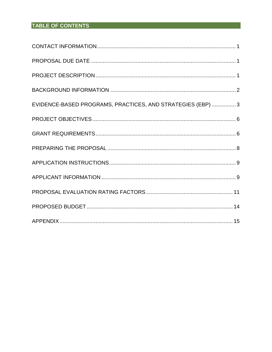# TABLE OF CONTENTS

| EVIDENCE-BASED PROGRAMS, PRACTICES, AND STRATEGIES (EBP)  3 |
|-------------------------------------------------------------|
|                                                             |
|                                                             |
|                                                             |
|                                                             |
|                                                             |
|                                                             |
|                                                             |
|                                                             |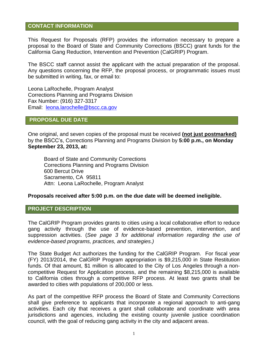#### <span id="page-2-0"></span>**CONTACT INFORMATION**

This Request for Proposals (RFP) provides the information necessary to prepare a proposal to the Board of State and Community Corrections (BSCC) grant funds for the California Gang Reduction, Intervention and Prevention (CalGRIP) Program.

The BSCC staff cannot assist the applicant with the actual preparation of the proposal. Any questions concerning the RFP, the proposal process, or programmatic issues must be submitted in writing, fax, or email to:

Leona LaRochelle, Program Analyst Corrections Planning and Programs Division Fax Number: (916) 327-3317 Email: [leona.larochelle@bscc.ca.gov](mailto:Oscar.Villegas@bscc.ca.gov)

# <span id="page-2-1"></span>**PROPOSAL DUE DATE**

One original, and seven copies of the proposal must be received **(not just postmarked)** by the BSCC's, Corrections Planning and Programs Division by **5:00 p.m., on Monday September 23, 2013, at:**

Board of State and Community Corrections Corrections Planning and Programs Division 600 Bercut Drive Sacramento, CA 95811 Attn: Leona LaRochelle, Program Analyst

#### **Proposals received after 5:00 p.m. on the due date will be deemed ineligible.**

#### <span id="page-2-2"></span>**PROJECT DESCRIPTION**

The CalGRIP Program provides grants to cities using a local collaborative effort to reduce gang activity through the use of evidence-based prevention, intervention, and suppression activities. (*See page 3 for additional information regarding the use of evidence-based programs, practices, and strategies.)*

The State Budget Act authorizes the funding for the CalGRIP Program. For fiscal year (FY) 2013/2014, the CalGRIP Program appropriation is \$9,215,000 in State Restitution funds. Of that amount, \$1 million is allocated to the City of Los Angeles through a noncompetitive Request for Application process, and the remaining \$8,215,000 is available to California cities through a competitive RFP process. At least two grants shall be awarded to cities with populations of 200,000 or less.

As part of the competitive RFP process the Board of State and Community Corrections shall give preference to applicants that incorporate a regional approach to anti-gang activities. Each city that receives a grant shall collaborate and coordinate with area jurisdictions and agencies, including the existing county juvenile justice coordination council, with the goal of reducing gang activity in the city and adjacent areas.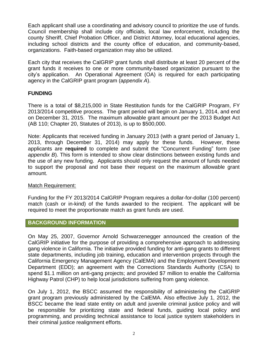Each applicant shall use a coordinating and advisory council to prioritize the use of funds. Council membership shall include city officials, local law enforcement, including the county Sheriff, Chief Probation Officer, and District Attorney, local educational agencies, including school districts and the county office of education, and community-based, organizations. Faith-based organization may also be utilized.

Each city that receives the CalGRIP grant funds shall distribute at least 20 percent of the grant funds it receives to one or more community-based organization pursuant to the city's application. An Operational Agreement (OA) is required for each participating agency in the CalGRIP grant program (a*ppendix A*).

# **FUNDING**

There is a total of \$8,215,000 in State Restitution funds for the CalGRIP Program, FY 2013/2014 competitive process. The grant period will begin on January 1, 2014, and end on December 31, 2015. The maximum allowable grant amount per the 2013 Budget Act (AB 110; Chapter 20, Statutes of 2013), is up to \$500,000.

Note: Applicants that received funding in January 2013 (with a grant period of January 1, 2013, through December 31, 2014) may apply for these funds. However, these applicants are **required** to complete and submit the "Concurrent Funding" form (*see appendix B*). This form is intended to show clear distinctions between existing funds and the use of any new funding. Applicants should only request the amount of funds needed to support the proposal and not base their request on the maximum allowable grant amount.

# Match Requirement:

Funding for the FY 2013/2014 CalGRIP Program requires a dollar-for-dollar (100 percent) match (cash or in-kind) of the funds awarded to the recipient. The applicant will be required to meet the proportionate match as grant funds are used.

# <span id="page-3-0"></span>**BACKGROUND INFORMATION**

On May 25, 2007, Governor Arnold Schwarzenegger announced the creation of the CalGRIP initiative for the purpose of providing a comprehensive approach to addressing gang violence in California. The initiative provided funding for anti-gang grants to different state departments, including job training, education and intervention projects through the California Emergency Management Agency (CalEMA) and the Employment Development Department (EDD); an agreement with the Corrections Standards Authority (CSA) to spend \$1.1 million on anti-gang projects; and provided \$7 million to enable the California Highway Patrol (CHP) to help local jurisdictions suffering from gang violence.

On July 1, 2012, the BSCC assumed the responsibility of administering the CalGRIP grant program previously administered by the CalEMA. Also effective July 1, 2012, the BSCC became the lead state entity on adult and juvenile criminal justice policy and will be responsible for prioritizing state and federal funds, guiding local policy and programming, and providing technical assistance to local justice system stakeholders in their criminal justice realignment efforts.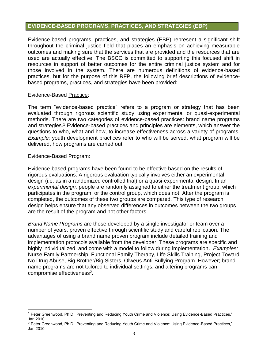#### <span id="page-4-0"></span>**EVIDENCE-BASED PROGRAMS, PRACTICES, AND STRATEGIES (EBP)**

Evidence-based programs, practices, and strategies (EBP) represent a significant shift throughout the criminal justice field that places an emphasis on achieving measurable outcomes and making sure that the services that are provided and the resources that are used are actually effective. The BSCC is committed to supporting this focused shift in resources in support of better outcomes for the entire criminal justice system and for those involved in the system. There are numerous definitions of evidence-based practices, but for the purpose of this RFP, the following brief descriptions of evidencebased programs, practices, and strategies have been provided:

#### Evidence-Based Practice:

The term "evidence-based practice" refers to a program or strategy that has been evaluated through rigorous scientific study using experimental or quasi-experimental methods. There are two categories of evidence-based practices: brand name programs and strategies. <sup>1</sup> Evidence-based practices and principles are elements, which answer the questions to who, what and how, to increase effectiveness across a variety of programs. *Example:* youth development practices refer to who will be served, what program will be delivered, how programs are carried out.

#### Evidence-Based Program:

 $\overline{\phantom{a}}$ 

Evidence-based programs have been found to be effective based on the results of rigorous evaluations. A rigorous evaluation typically involves either an experimental design (i.e. as in a randomized controlled trial) or a quasi-experimental design. In an *experimental design,* people are randomly assigned to either the treatment group, which participates in the program, or the control group, which does not. After the program is completed, the outcomes of these two groups are compared. This type of research design helps ensure that any observed differences in outcomes between the two groups are the result of the program and not other factors.

*Brand Name Programs* are those developed by a single investigator or team over a number of years, proven effective through scientific study and careful replication. The advantages of using a brand name proven program include detailed training and implementation protocols available from the developer. These programs are specific and highly individualized, and come with a model to follow during implementation. *Examples:* Nurse Family Partnership, Functional Family Therapy, Life Skills Training, Project Toward No Drug Abuse, Big Brother/Big Sisters, Olweus Anti-Bullying Program. However; brand name programs are not tailored to individual settings, and altering programs can compromise effectiveness<sup>2</sup>.

<sup>1</sup> Peter Greenwood, Ph.D. 'Preventing and Reducing Youth Crime and Violence: Using Evidence-Based Practices,' Jan 2010

<sup>2</sup> Peter Greenwood, Ph.D. 'Preventing and Reducing Youth Crime and Violence: Using Evidence-Based Practices,' Jan 2010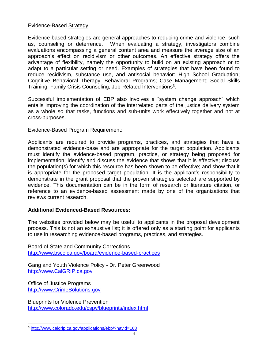# Evidence-Based Strategy:

Evidence-based strategies are general approaches to reducing crime and violence, such as, counseling or deterrence. When evaluating a strategy, investigators combine evaluations encompassing a general content area and measure the average size of an approach's effect on recidivism or other outcomes. An effective strategy offers the advantage of flexibility, namely the opportunity to build on an existing approach or to adapt to a particular setting or need. Examples of strategies that have been found to reduce recidivism, substance use, and antisocial behavior: High School Graduation; Cognitive Behavioral Therapy, Behavioral Programs; Case Management; Social Skills Training; Family Crisis Counseling, Job-Related Interventions<sup>3</sup>.

Successful implementation of EBP also involves a "system change approach" which entails improving the coordination of the interrelated parts of the justice delivery system as a whole so that tasks, functions and sub-units work effectively together and not at cross-purposes.

# Evidence-Based Program Requirement:

Applicants are required to provide programs, practices, and strategies that have a demonstrated evidence-base and are appropriate for the target population. Applicants must identify the evidence-based program, practice, or strategy being proposed for implementation; identify and discuss the evidence that shows that it is effective; discuss the population(s) for which this resource has been shown to be effective; and show that it is appropriate for the proposed target population. It is the applicant's responsibility to demonstrate in the grant proposal that the proven strategies selected are supported by evidence. This documentation can be in the form of research or literature citation, or reference to an evidence-based assessment made by one of the organizations that reviews current research.

# **Additional Evidenced-Based Resources:**

The websites provided below may be useful to applicants in the proposal development process. This is not an exhaustive list; it is offered only as a starting point for applicants to use in researching evidence-based programs, practices, and strategies.

Board of State and Community Corrections <http://www.bscc.ca.gov/board/evidence-based-practices>

Gang and Youth Violence Policy - Dr. Peter Greenwood [http://www.CalGRIP.ca.gov](http://www.calgrip.ca.gov/)

Office of Justice Programs [http://www.CrimeSolutions.gov](http://www.crimesolutions.gov/)

 $\overline{\phantom{a}}$ 

Blueprints for Violence Prevention <http://www.colorado.edu/cspv/blueprints/index.html>

<sup>3</sup> <http://www.calgrip.ca.gov/applications/ebp/?navid=168>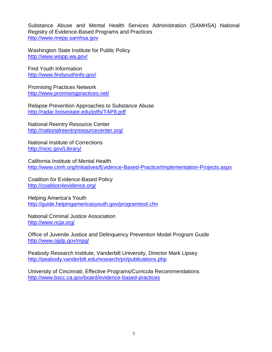Substance Abuse and Mental Health Services Administration (SAMHSA) National Registry of Evidence‐Based Programs and Practices [http://www.nrepp.samhsa.gov](http://www.nrepp.samhsa.gov/)

Washington State Institute for Public Policy <http://www.wsipp.wa.gov/>

Find Youth Information <http://www.findyouthinfo.gov/>

Promising Practices Network <http://www.promisingpractices.net/>

Relapse Prevention Approaches to Substance Abuse <http://radar.boisestate.edu/pdfs/TAP8.pdf>

National Reentry Resource Center <http://nationalreentryresourcecenter.org/>

National Institute of Corrections <http://nicic.gov/Library/>

California Institute of Mental Health <http://www.cimh.org/Initiatives/Evidence-Based-Practice/Implementation-Projects.aspx>

Coalition for Evidence-Based Policy <http://coalition4evidence.org/>

Helping America's Youth <http://guide.helpingamericasyouth.gov/programtool.cfm>

National Criminal Justice Association <http://www.ncja.org/>

Office of Juvenile Justice and Delinquency Prevention Model Program Guide <http://www.ojjdp.gov/mpg/>

Peabody Research Institute, Vanderbilt University, Director Mark Lipsey <http://peabody.vanderbilt.edu/research/pri/publications.php>

University of Cincinnati, Effective Programs/Curricula Recommendations <http://www.bscc.ca.gov/board/evidence-based-practices>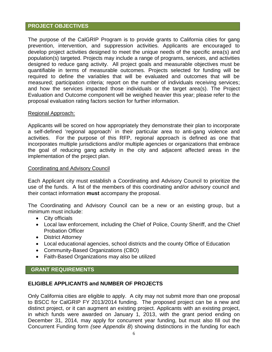#### <span id="page-7-0"></span>**PROJECT OBJECTIVES**

The purpose of the CalGRIP Program is to provide grants to California cities for gang prevention, intervention, and suppression activities. Applicants are encouraged to develop project activities designed to meet the unique needs of the specific area(s) and population(s) targeted. Projects may include a range of programs, services, and activities designed to reduce gang activity. All project goals and measurable objectives must be quantifiable in terms of measurable outcomes. Projects selected for funding will be required to define the variables that will be evaluated and outcomes that will be measured; participation criteria; report on the number of individuals receiving services; and how the services impacted those individuals or the target area(s). The Project Evaluation and Outcome component will be weighed heavier this year; please refer to the proposal evaluation rating factors section for further information.

#### Regional Approach:

Applicants will be scored on how appropriately they demonstrate their plan to incorporate a self-defined 'regional approach' in their particular area to anti-gang violence and activities. For the purpose of this RFP, regional approach is defined as one that incorporates multiple jurisdictions and/or multiple agencies or organizations that embrace the goal of reducing gang activity in the city and adjacent affected areas in the implementation of the project plan.

#### Coordinating and Advisory Council

Each Applicant city must establish a Coordinating and Advisory Council to prioritize the use of the funds. A list of the members of this coordinating and/or advisory council and their contact information **must** accompany the proposal.

The Coordinating and Advisory Council can be a new or an existing group, but a minimum must include:

- City officials
- Local law enforcement, including the Chief of Police, County Sheriff, and the Chief Probation Officer
- District Attorney
- Local educational agencies, school districts and the county Office of Education
- Community-Based Organizations (CBO)
- Faith-Based Organizations may also be utilized

# <span id="page-7-1"></span> **GRANT REQUIREMENTS**

# **ELIGIBLE APPLICANTS and NUMBER OF PROJECTS**

Only California cities are eligible to apply. A city may not submit more than one proposal to BSCC for CalGRIP FY 2013/2014 funding. The proposed project can be a new and distinct project, or it can augment an existing project. Applicants with an existing project, in which funds were awarded on January 1, 2013, with the grant period ending on December 31, 2014, may apply for concurrent year funding, but must also fill out the Concurrent Funding form *(see Appendix B*) showing distinctions in the funding for each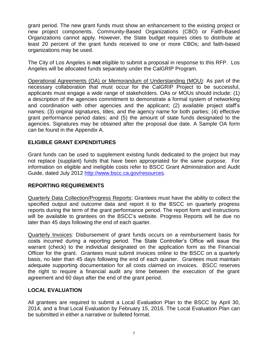grant period. The new grant funds must show an enhancement to the existing project or new project components. Community-Based Organizations (CBO) or Faith-Based Organizations cannot apply. However, the State budget requires cities to distribute at least 20 percent of the grant funds received to one or more CBOs; and faith-based organizations may be used.

The City of Los Angeles is **not** eligible to submit a proposal in response to this RFP. Los Angeles will be allocated funds separately under the CalGRIP Program.

Operational Agreements (OA) or Memorandum of Understanding (MOU): As part of the necessary collaboration that must occur for the CalGRIP Project to be successful, applicants must engage a wide range of stakeholders. OAs or MOUs should include: (1) a description of the agencies commitment to demonstrate a formal system of networking and coordination with other agencies and the applicant; (2) available project staff's names; (3) original signatures, titles, and the agency name for both parties; (4) effective grant performance period dates; and (5) the amount of state funds designated to the agencies. Signatures may be obtained after the proposal due date. A Sample OA form can be found in the Appendix A.

# **ELIGIBLE GRANT EXPENDITURES**

Grant funds can be used to supplement existing funds dedicated to the project but may not replace (supplant) funds that have been appropriated for the same purpose. For information on eligible and ineligible costs refer to BSCC Grant Administration and Audit Guide, dated July 2012 [http://www.bscc.ca.gov/resources.](http://www.bscc.ca.gov/resources)

# **REPORTING REQUIREMENTS**

Quarterly Data Collection/Progress Reports: Grantees must have the ability to collect the specified output and outcome data and report it to the BSCC on quarterly progress reports during the term of the grant performance period. The report form and instructions will be available to grantees on the BSCC's website. Progress Reports will be due no later than 45 days following the end of each quarter.

Quarterly Invoices: Disbursement of grant funds occurs on a reimbursement basis for costs incurred during a reporting period. The State Controller's Office will issue the warrant (check) to the individual designated on the application form as the Financial Officer for the grant. Grantees must submit invoices online to the BSCC on a quarterly basis, no later than 45 days following the end of each quarter. Grantees must maintain adequate supporting documentation for all costs claimed on invoices. BSCC reserves the right to require a financial audit any time between the execution of the grant agreement and 60 days after the end of the grant period.

# **LOCAL EVALUATION**

All grantees are required to submit a Local Evaluation Plan to the BSCC by April 30, 2014, and a final Local Evaluation by February 15, 2016. The Local Evaluation Plan can be submitted in either a narrative or bulleted format.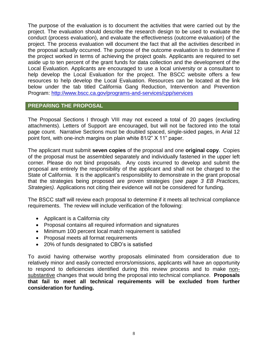The purpose of the evaluation is to document the activities that were carried out by the project. The evaluation should describe the research design to be used to evaluate the conduct (process evaluation), and evaluate the effectiveness (outcome evaluation) of the project. The process evaluation will document the fact that all the activities described in the proposal actually occurred. The purpose of the outcome evaluation is to determine if the project worked in terms of achieving the project goals. Applicants are required to set aside up to ten percent of the grant funds for data collection and the development of the Local Evaluation. Applicants are encouraged to use a local university or a consultant to help develop the Local Evaluation for the project. The BSCC website offers a few resources to help develop the Local Evaluation. Resources can be located at the link below under the tab titled California Gang Reduction, Intervention and Prevention Program:<http://www.bscc.ca.gov/programs-and-services/cpp/services>

# <span id="page-9-0"></span>**PREPARING THE PROPOSAL**

The Proposal Sections I through VIII may not exceed a total of 20 pages (excluding attachments). Letters of Support are encouraged, but will not be factored into the total page count. Narrative Sections must be doubled spaced, single-sided pages, in Arial 12 point font, with one-inch margins on plain white 81/2" X 11" paper.

The applicant must submit **seven copies** of the proposal and one **original copy**. Copies of the proposal must be assembled separately and individually fastened in the upper left corner. Please do not bind proposals. Any costs incurred to develop and submit the proposal are entirely the responsibility of the applicant and shall not be charged to the State of California. It is the applicant's responsibility to demonstrate in the grant proposal that the strategies being proposed are proven strategies (*see page 3 EB Practices, Strategies).* Applications not citing their evidence will not be considered for funding.

The BSCC staff will review each proposal to determine if it meets all technical compliance requirements. The review will include verification of the following:

- Applicant is a California city
- Proposal contains all required information and signatures
- Minimum 100 percent local match requirement is satisfied
- Proposal meets all format requirements
- 20% of funds designated to CBO's is satisfied

To avoid having otherwise worthy proposals eliminated from consideration due to relatively minor and easily corrected errors/omissions, applicants will have an opportunity to respond to deficiencies identified during this review process and to make nonsubstantive changes that would bring the proposal into technical compliance. **Proposals that fail to meet all technical requirements will be excluded from further consideration for funding.**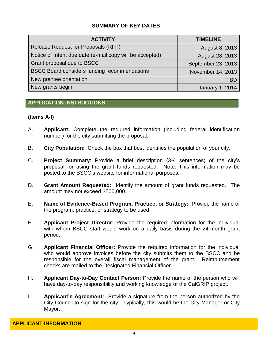# **SUMMARY OF KEY DATES**

| <b>ACTIVITY</b>                                          | <b>TIMELINE</b>        |
|----------------------------------------------------------|------------------------|
| Release Request for Proposals (RFP)                      | August 8, 2013         |
| Notice of Intent due date (e-mail copy will be accepted) | August 28, 2013        |
| Grant proposal due to BSCC                               | September 23, 2013     |
| <b>BSCC Board considers funding recommendations</b>      | November 14, 2013      |
| New grantee orientation                                  | TBD                    |
| New grants begin                                         | <b>January 1, 2014</b> |

# <span id="page-10-0"></span>**APPLICATION INSTRUCTIONS**

# **(Items A-I)**

- A. **Applicant:** Complete the required information (including federal identification number) for the city submitting the proposal.
- B. **City Population:** Check the box that best identifies the population of your city.
- C. **Project Summary**: Provide a brief description (3-4 sentences) of the city's proposal for using the grant funds requested. Note: This information may be posted to the BSCC's website for informational purposes.
- D. **Grant Amount Requested:** Identify the amount of grant funds requested. The amount may not exceed \$500,000.
- E. **Name of Evidence-Based Program, Practice, or Strategy:** Provide the name of the program, practice, or strategy to be used.
- F. **Applicant Project Director:** Provide the required information for the individual with whom BSCC staff would work on a daily basis during the 24-month grant period.
- G. **Applicant Financial Officer:** Provide the required information for the individual who would approve invoices before the city submits them to the BSCC and be responsible for the overall fiscal management of the grant. Reimbursement checks are mailed to the Designated Financial Officer.
- H. **Applicant Day-to-Day Contact Person:** Provide the name of the person who will have day-to-day responsibility and working knowledge of the CalGRIP project.
- <span id="page-10-1"></span>I. **Applicant's Agreement:** Provide a signature from the person authorized by the City Council to sign for the city. Typically, this would be the City Manager or City Mayor.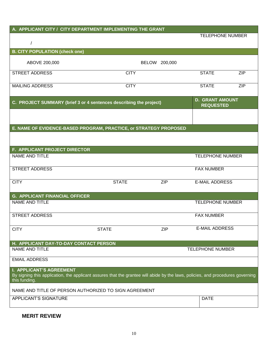| A. APPLICANT CITY / CITY DEPARTMENT IMPLEMENTING THE GRANT                                                                                                                         |                                                                    |               |                         |                                            |  |
|------------------------------------------------------------------------------------------------------------------------------------------------------------------------------------|--------------------------------------------------------------------|---------------|-------------------------|--------------------------------------------|--|
|                                                                                                                                                                                    |                                                                    |               | <b>TELEPHONE NUMBER</b> |                                            |  |
| $\sqrt{\phantom{a}}$                                                                                                                                                               |                                                                    |               |                         |                                            |  |
| <b>B. CITY POPULATION (check one)</b>                                                                                                                                              |                                                                    |               |                         |                                            |  |
| ABOVE 200,000                                                                                                                                                                      |                                                                    | BELOW 200,000 |                         |                                            |  |
| <b>STREET ADDRESS</b>                                                                                                                                                              | <b>CITY</b>                                                        |               | <b>STATE</b>            | <b>ZIP</b>                                 |  |
| <b>MAILING ADDRESS</b>                                                                                                                                                             | <b>CITY</b>                                                        |               | <b>STATE</b>            | <b>ZIP</b>                                 |  |
|                                                                                                                                                                                    | C. PROJECT SUMMARY (brief 3 or 4 sentences describing the project) |               |                         | <b>D. GRANT AMOUNT</b><br><b>REQUESTED</b> |  |
|                                                                                                                                                                                    |                                                                    |               |                         |                                            |  |
| E. NAME OF EVIDENCE-BASED PROGRAM, PRACTICE, or STRATEGY PROPOSED                                                                                                                  |                                                                    |               |                         |                                            |  |
|                                                                                                                                                                                    |                                                                    |               |                         |                                            |  |
| F. APPLICANT PROJECT DIRECTOR                                                                                                                                                      |                                                                    |               |                         |                                            |  |
| <b>NAME AND TITLE</b>                                                                                                                                                              |                                                                    |               | <b>TELEPHONE NUMBER</b> |                                            |  |
| <b>STREET ADDRESS</b>                                                                                                                                                              |                                                                    |               | <b>FAX NUMBER</b>       |                                            |  |
| <b>CITY</b>                                                                                                                                                                        | <b>STATE</b>                                                       | <b>ZIP</b>    | <b>E-MAIL ADDRESS</b>   |                                            |  |
| <b>G. APPLICANT FINANCIAL OFFICER</b>                                                                                                                                              |                                                                    |               |                         |                                            |  |
| <b>NAME AND TITLE</b>                                                                                                                                                              |                                                                    |               | <b>TELEPHONE NUMBER</b> |                                            |  |
| <b>STREET ADDRESS</b>                                                                                                                                                              |                                                                    |               | <b>FAX NUMBER</b>       |                                            |  |
| <b>CITY</b>                                                                                                                                                                        | <b>STATE</b>                                                       | <b>ZIP</b>    | <b>E-MAIL ADDRESS</b>   |                                            |  |
| H. APPLICANT DAY-TO-DAY CONTACT PERSON                                                                                                                                             |                                                                    |               |                         |                                            |  |
| <b>NAME AND TITLE</b>                                                                                                                                                              |                                                                    |               | <b>TELEPHONE NUMBER</b> |                                            |  |
| <b>EMAIL ADDRESS</b>                                                                                                                                                               |                                                                    |               |                         |                                            |  |
| <b>I. APPLICANT'S AGREEMENT</b><br>By signing this application, the applicant assures that the grantee will abide by the laws, policies, and procedures governing<br>this funding. |                                                                    |               |                         |                                            |  |
| NAME AND TITLE OF PERSON AUTHORIZED TO SIGN AGREEMENT                                                                                                                              |                                                                    |               |                         |                                            |  |
| APPLICANT'S SIGNATURE                                                                                                                                                              |                                                                    |               | <b>DATE</b>             |                                            |  |
|                                                                                                                                                                                    |                                                                    |               |                         |                                            |  |

**MERIT REVIEW**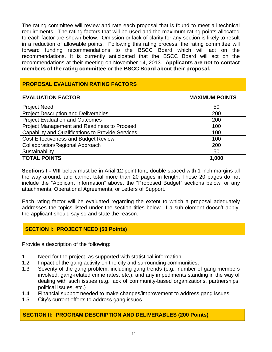The rating committee will review and rate each proposal that is found to meet all technical requirements. The rating factors that will be used and the maximum rating points allocated to each factor are shown below.Omission or lack of clarity for any section is likely to result in a reduction of allowable points. Following this rating process, the rating committee will forward funding recommendations to the BSCC Board which will act on the recommendations. It is currently anticipated that the BSCC Board will act on the recommendations at their meeting on November 14, 2013. **Applicants are not to contact members of the rating committee or the BSCC Board about their proposal.** 

<span id="page-12-0"></span>

| <b>PROPOSAL EVALUATION RATING FACTORS</b>                |                       |  |  |
|----------------------------------------------------------|-----------------------|--|--|
| <b>EVALUATION FACTOR</b>                                 | <b>MAXIMUM POINTS</b> |  |  |
| <b>Project Need</b>                                      | 50                    |  |  |
| <b>Project Description and Deliverables</b>              | 200                   |  |  |
| <b>Project Evaluation and Outcomes</b>                   | 200                   |  |  |
| Project Management and Readiness to Proceed              | 100                   |  |  |
| <b>Capability and Qualifications to Provide Services</b> | 100                   |  |  |
| <b>Cost Effectiveness and Budget Review</b>              | 100                   |  |  |
| <b>Collaboration/Regional Approach</b>                   | 200                   |  |  |
| Sustainability                                           | 50                    |  |  |
| <b>TOTAL POINTS</b>                                      | 1,000                 |  |  |

**Sections I - VIII** below must be in Arial 12 point font, double spaced with 1 inch margins all the way around, and cannot total more than 20 pages in length. These 20 pages do not include the "Applicant Information" above, the "Proposed Budget" sections below, or any attachments, Operational Agreements, or Letters of Support.

Each rating factor will be evaluated regarding the extent to which a proposal adequately addresses the topics listed under the section titles below. If a sub-element doesn't apply, the applicant should say so and state the reason.

# **SECTION I: PROJECT NEED (50 Points)**

Provide a description of the following:

- 1.1 Need for the project, as supported with statistical information.
- 1.2 Impact of the gang activity on the city and surrounding communities.
- 1.3 Severity of the gang problem, including gang trends (e.g., number of gang members involved, gang-related crime rates, etc.), and any impediments standing in the way of dealing with such issues (e.g. lack of community-based organizations, partnerships, political issues, etc.)
- 1.4 Financial support needed to make changes/improvement to address gang issues.
- 1.5 City's current efforts to address gang issues.

# **SECTION II: PROGRAM DESCRIPTION AND DELIVERABLES (200 Points)**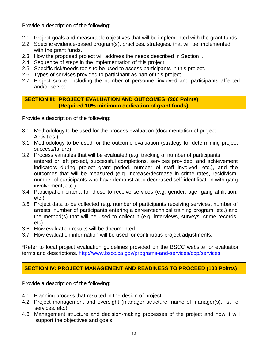Provide a description of the following:

- 2.1 Project goals and measurable objectives that will be implemented with the grant funds.
- 2.2 Specific evidence-based program(s), practices, strategies, that will be implemented with the grant funds.
- 2.3 How the proposed project will address the needs described in Section I.
- 2.4 Sequence of steps in the implementation of this project.
- 2.5 Specific risk/needs tools to be used to assess participants in this project.
- 2.6 Types of services provided to participant as part of this project.
- 2.7 Project scope, including the number of personnel involved and participants affected and/or served.

**SECTION III: PROJECT EVALUATION AND OUTCOMES (200 Points) (Required 10% minimum dedication of grant funds)**

Provide a description of the following:

- 3.1 Methodology to be used for the process evaluation (documentation of project Activities.)
- 3.1 Methodology to be used for the outcome evaluation (strategy for determining project success/failure).
- 3.2 Process variables that will be evaluated (e.g. tracking of number of participants entered or left project, successful completions, services provided, and achievement indicators during project grant period, number of staff involved, etc.), and the outcomes that will be measured (e.g. increase/decrease in crime rates, recidivism, number of participants who have demonstrated decreased self-identification with gang involvement, etc.).
- 3.4 Participation criteria for those to receive services (e.g. gender, age, gang affiliation, etc.)
- 3.5 Project data to be collected (e.g. number of participants receiving services, number of arrests, number of participants entering a career/technical training program, etc.) and the method(s) that will be used to collect it (e.g. interviews, surveys, crime records, etc).
- 3.6 How evaluation results will be documented.
- 3.7 How evaluation information will be used for continuous project adjustments.

\*Refer to local project evaluation guidelines provided on the BSCC website for evaluation terms and descriptions.<http://www.bscc.ca.gov/programs-and-services/cpp/services>

# **SECTION IV: PROJECT MANAGEMENT AND READINESS TO PROCEED (100 Points)**

Provide a description of the following:

- 4.1 Planning process that resulted in the design of project.
- 4.2 Project management and oversight (manager structure, name of manager(s), list of services, etc.)
- 4.3 Management structure and decision-making processes of the project and how it will support the objectives and goals.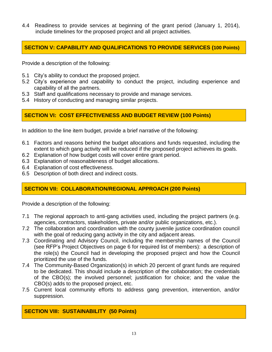4.4 Readiness to provide services at beginning of the grant period (January 1, 2014), include timelines for the proposed project and all project activities.

# **SECTION V: CAPABILITY AND QUALIFICATIONS TO PROVIDE SERVICES (100 Points)**

Provide a description of the following:

- 5.1 City's ability to conduct the proposed project.
- 5.2 City's experience and capability to conduct the project, including experience and capability of all the partners.
- 5.3 Staff and qualifications necessary to provide and manage services.
- 5.4 History of conducting and managing similar projects.

# **SECTION VI: COST EFFECTIVENESS AND BUDGET REVIEW (100 Points)**

In addition to the line item budget, provide a brief narrative of the following:

- 6.1 Factors and reasons behind the budget allocations and funds requested, including the extent to which gang activity will be reduced if the proposed project achieves its goals.
- 6.2 Explanation of how budget costs will cover entire grant period.
- 6.3 Explanation of reasonableness of budget allocations.
- 6.4 Explanation of cost effectiveness.
- 6.5 Description of both direct and indirect costs.

# **SECTION VII: COLLABORATION/REGIONAL APPROACH (200 Points)**

Provide a description of the following:

- 7.1 The regional approach to anti-gang activities used, including the project partners (e.g. agencies, contractors, stakeholders, private and/or public organizations, etc.).
- 7.2 The collaboration and coordination with the county juvenile justice coordination council with the goal of reducing gang activity in the city and adjacent areas.
- 7.3 Coordinating and Advisory Council, including the membership names of the Council (see RFP's Project Objectives on page 6 for required list of members): a description of the role(s) the Council had in developing the proposed project and how the Council prioritized the use of the funds.
- 7.4 The Community-Based Organization(s) in which 20 percent of grant funds are required to be dedicated. This should include a description of the collaboration; the credentials of the CBO(s); the involved personnel; justification for choice; and the value the CBO(s) adds to the proposed project, etc.
- 7.5 Current local community efforts to address gang prevention, intervention, and/or suppression.

# **SECTION VIII: SUSTAINABILITY (50 Points)**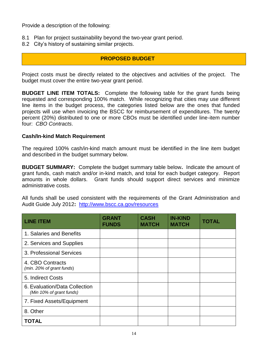Provide a description of the following:

- 8.1 Plan for project sustainability beyond the two-year grant period.
- 8.2 City's history of sustaining similar projects.

# <span id="page-15-0"></span> **PROPOSED BUDGET**

Project costs must be directly related to the objectives and activities of the project. The budget must cover the entire two-year grant period.

**BUDGET LINE ITEM TOTALS:** Complete the following table for the grant funds being requested and corresponding 100% match. While recognizing that cities may use different line items in the budget process, the categories listed below are the ones that funded projects will use when invoicing the BSCC for reimbursement of expenditures. The twenty percent (20%) distributed to one or more CBOs must be identified under line-item number four: *CBO Contracts*.

#### **Cash/In-kind Match Requirement**

The required 100% cash/in-kind match amount must be identified in the line item budget and described in the budget summary below.

**BUDGET SUMMARY:** Complete the budget summary table below**.** Indicate the amount of grant funds, cash match and/or in-kind match, and total for each budget category. Report amounts in whole dollars. Grant funds should support direct services and minimize administrative costs.

All funds shall be used consistent with the requirements of the Grant Administration and Audit Guide July 2012**:** <http://www.bscc.ca.gov/resources>

| <b>LINE ITEM</b>                                          | <b>GRANT</b><br><b>FUNDS</b> | <b>CASH</b><br><b>MATCH</b> | <b>IN-KIND</b><br><b>MATCH</b> | <b>TOTAL</b> |
|-----------------------------------------------------------|------------------------------|-----------------------------|--------------------------------|--------------|
| 1. Salaries and Benefits                                  |                              |                             |                                |              |
| 2. Services and Supplies                                  |                              |                             |                                |              |
| 3. Professional Services                                  |                              |                             |                                |              |
| 4. CBO Contracts<br>(min. 20% of grant funds)             |                              |                             |                                |              |
| 5. Indirect Costs                                         |                              |                             |                                |              |
| 6. Evaluation/Data Collection<br>(Min 10% of grant funds) |                              |                             |                                |              |
| 7. Fixed Assets/Equipment                                 |                              |                             |                                |              |
| 8. Other                                                  |                              |                             |                                |              |
| <b>TOTAL</b>                                              |                              |                             |                                |              |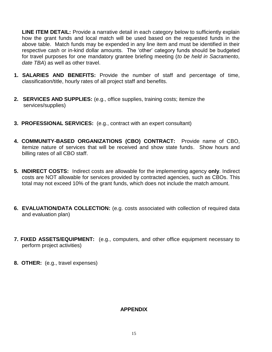**LINE ITEM DETAIL:** Provide a narrative detail in each category below to sufficiently explain how the grant funds and local match will be used based on the requested funds in the above table. Match funds may be expended in any line item and must be identified in their respective cash or in-kind dollar amounts. The 'other' category funds should be budgeted for travel purposes for one mandatory grantee briefing meeting (*to be held in Sacramento, date TBA*) as well as other travel.

- **1. SALARIES AND BENEFITS:** Provide the number of staff and percentage of time, classification/title, hourly rates of all project staff and benefits.
- **2. SERVICES AND SUPPLIES:** (e.g., office supplies, training costs; itemize the services/supplies)
- **3. PROFESSIONAL SERVICES:** (e.g., contract with an expert consultant)
- **4. COMMUNITY-BASED ORGANIZATIONS (CBO) CONTRACT:** Provide name of CBO, itemize nature of services that will be received and show state funds. Show hours and billing rates of all CBO staff.
- **5. INDIRECT COSTS:** Indirect costs are allowable for the implementing agency **only**. Indirect costs are NOT allowable for services provided by contracted agencies, such as CBOs. This total may not exceed 10% of the grant funds, which does not include the match amount.
- **6. EVALUATION/DATA COLLECTION:** (e.g. costs associated with collection of required data and evaluation plan)
- **7. FIXED ASSETS/EQUIPMENT:** (e.g., computers, and other office equipment necessary to perform project activities)
- <span id="page-16-0"></span>**8. OTHER:** (e.g., travel expenses)

#### **APPENDIX**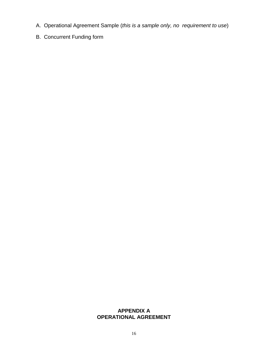- A. Operational Agreement Sample (*this is a sample only, no requirement to use*)
- B. Concurrent Funding form

# **APPENDIX A OPERATIONAL AGREEMENT**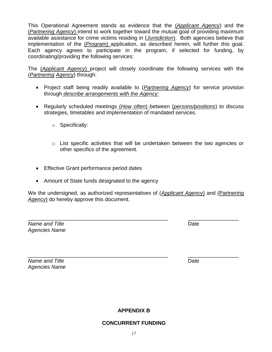available assistance for crime victims residing in (*Jurisdiction*). Both agencies believe that implementation of the (*Program*) application, as described herein, will further this goal. Each agency agrees to participate in the program, if selected for funding, by coordinating/providing the following services: The (*Applicant Agency*) project will closely coordinate the following services with the

This Operational Agreement stands as evidence that the (*Applicant Agency*) and the (*Partnering Agency*) intend to work together toward the mutual goal of providing maximum

- Project staff being readily available to (*Partnering Agency*) for service provision through *describe arrangements with the Agency:*
- Regularly scheduled meetings (*How often*) between (*persons/positions*) to discuss strategies, timetables and implementation of mandated services.
	- o Specifically:

(*Partnering Agency*) through:

- o List specific activities that will be undertaken between the two agencies or other specifics of the agreement.
- Effective Grant performance period dates
- Amount of State funds designated to the agency

We the undersigned, as authorized representatives of (*Applicant Agency*) and (Partnering *Agency*) do hereby approve this document.

*Name and Title* Date *Agencies Name*

\_\_\_\_\_\_\_\_\_\_\_\_\_\_\_\_\_\_\_\_\_\_\_\_\_\_\_\_\_\_\_\_\_\_\_\_\_\_\_\_\_\_\_\_\_\_\_ \_\_\_\_\_\_\_\_\_\_\_\_\_\_\_\_\_

*Name and Title* Date *Agencies Name* 

**APPENDIX B**

\_\_\_\_\_\_\_\_\_\_\_\_\_\_\_\_\_\_\_\_\_\_\_\_\_\_\_\_\_\_\_\_\_\_\_\_\_\_\_\_\_\_\_\_\_\_\_ \_\_\_\_\_\_\_\_\_\_\_\_\_\_\_\_\_

# **CONCURRENT FUNDING**